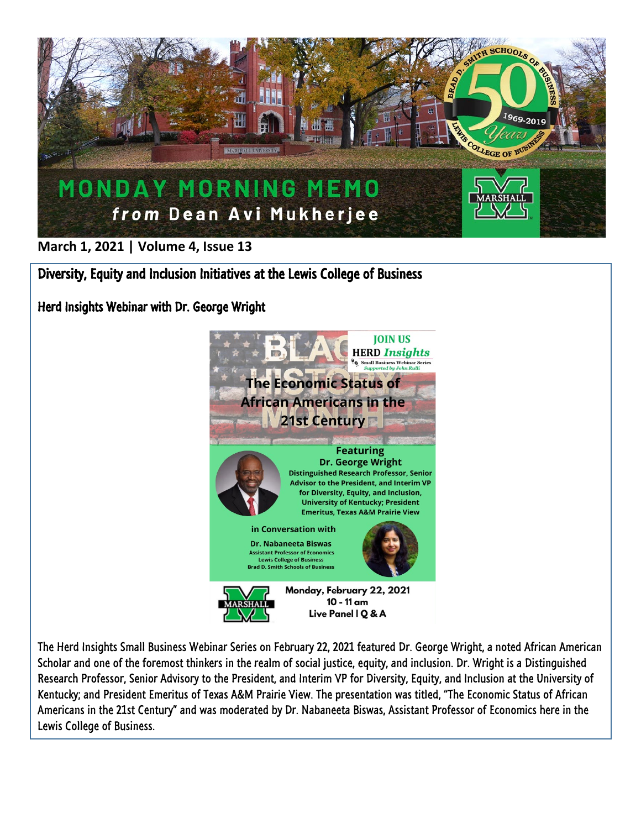

**March 1, 2021 | Volume 4, Issue 13**

Diversity, Equity and Inclusion Initiatives at the Lewis College of Business

Herd Insights Webinar with Dr. George Wright



The Herd Insights Small Business Webinar Series on February 22, 2021 featured Dr. George Wright, a noted African American Scholar and one of the foremost thinkers in the realm of social justice, equity, and inclusion. Dr. Wright is a Distinguished Research Professor, Senior Advisory to the President, and Interim VP for Diversity, Equity, and Inclusion at the University of Kentucky; and President Emeritus of Texas A&M Prairie View. The presentation was titled, "The Economic Status of African Americans in the 21st Century" and was moderated by Dr. Nabaneeta Biswas, Assistant Professor of Economics here in the Lewis College of Business.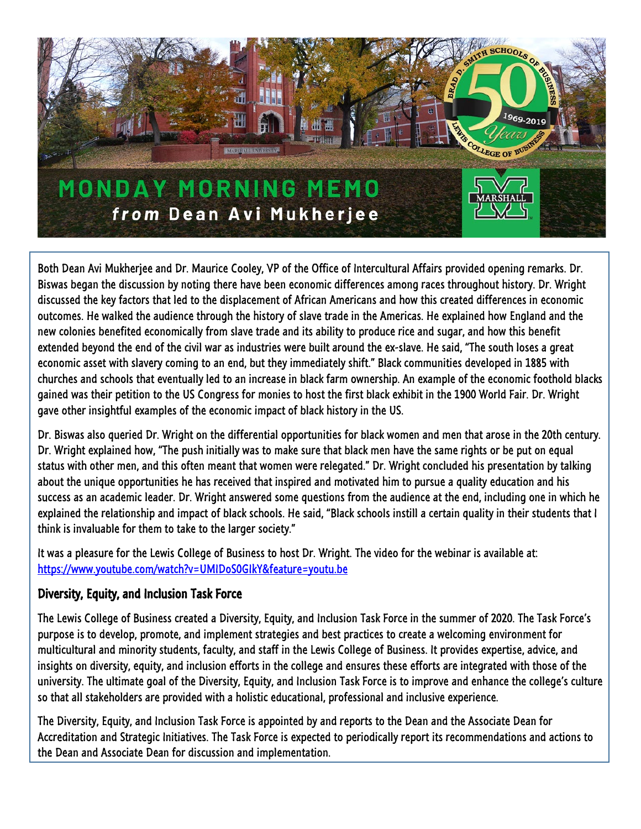

Both Dean Avi Mukherjee and Dr. Maurice Cooley, VP of the Office of Intercultural Affairs provided opening remarks. Dr. Biswas began the discussion by noting there have been economic differences among races throughout history. Dr. Wright discussed the key factors that led to the displacement of African Americans and how this created differences in economic outcomes. He walked the audience through the history of slave trade in the Americas. He explained how England and the new colonies benefited economically from slave trade and its ability to produce rice and sugar, and how this benefit extended beyond the end of the civil war as industries were built around the ex-slave. He said, "The south loses a great economic asset with slavery coming to an end, but they immediately shift." Black communities developed in 1885 with churches and schools that eventually led to an increase in black farm ownership. An example of the economic foothold blacks gained was their petition to the US Congress for monies to host the first black exhibit in the 1900 World Fair. Dr. Wright gave other insightful examples of the economic impact of black history in the US.

Dr. Biswas also queried Dr. Wright on the differential opportunities for black women and men that arose in the 20th century. Dr. Wright explained how, "The push initially was to make sure that black men have the same rights or be put on equal status with other men, and this often meant that women were relegated." Dr. Wright concluded his presentation by talking about the unique opportunities he has received that inspired and motivated him to pursue a quality education and his success as an academic leader. Dr. Wright answered some questions from the audience at the end, including one in which he explained the relationship and impact of black schools. He said, "Black schools instill a certain quality in their students that I think is invaluable for them to take to the larger society."

It was a pleasure for the Lewis College of Business to host Dr. Wright. The video for the webinar is available at: <https://www.youtube.com/watch?v=UMIDoS0GIkY&feature=youtu.be>

## Diversity, Equity, and Inclusion Task Force

The Lewis College of Business created a Diversity, Equity, and Inclusion Task Force in the summer of 2020. The Task Force's purpose is to develop, promote, and implement strategies and best practices to create a welcoming environment for multicultural and minority students, faculty, and staff in the Lewis College of Business. It provides expertise, advice, and insights on diversity, equity, and inclusion efforts in the college and ensures these efforts are integrated with those of the university. The ultimate goal of the Diversity, Equity, and Inclusion Task Force is to improve and enhance the college's culture so that all stakeholders are provided with a holistic educational, professional and inclusive experience.

The Diversity, Equity, and Inclusion Task Force is appointed by and reports to the Dean and the Associate Dean for Accreditation and Strategic Initiatives. The Task Force is expected to periodically report its recommendations and actions to the Dean and Associate Dean for discussion and implementation.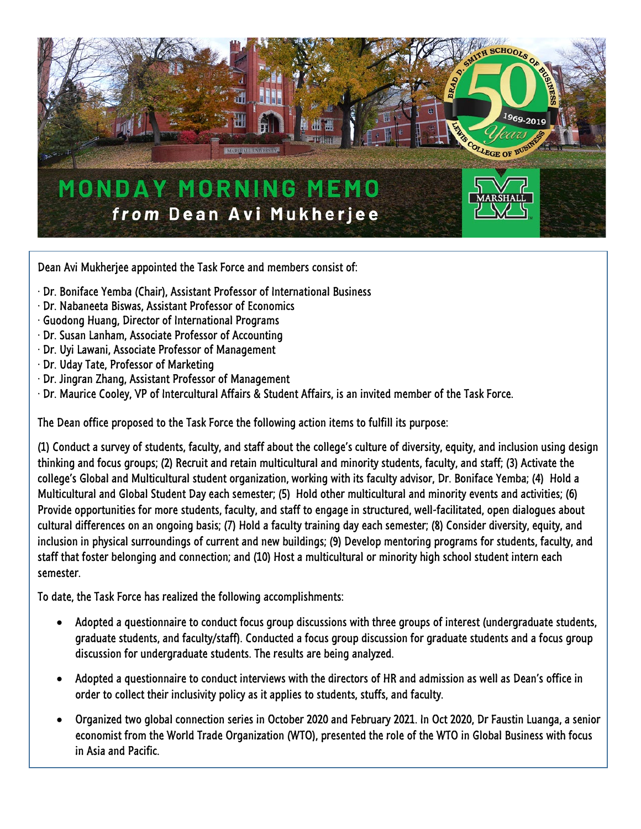

Dean Avi Mukherjee appointed the Task Force and members consist of:

- · Dr. Boniface Yemba (Chair), Assistant Professor of International Business
- · Dr. Nabaneeta Biswas, Assistant Professor of Economics
- · Guodong Huang, Director of International Programs
- · Dr. Susan Lanham, Associate Professor of Accounting
- · Dr. Uyi Lawani, Associate Professor of Management
- · Dr. Uday Tate, Professor of Marketing
- · Dr. Jingran Zhang, Assistant Professor of Management
- · Dr. Maurice Cooley, VP of Intercultural Affairs & Student Affairs, is an invited member of the Task Force.

The Dean office proposed to the Task Force the following action items to fulfill its purpose:

(1) Conduct a survey of students, faculty, and staff about the college's culture of diversity, equity, and inclusion using design thinking and focus groups; (2) Recruit and retain multicultural and minority students, faculty, and staff; (3) Activate the college's Global and Multicultural student organization, working with its faculty advisor, Dr. Boniface Yemba; (4) Hold a Multicultural and Global Student Day each semester; (5) Hold other multicultural and minority events and activities; (6) Provide opportunities for more students, faculty, and staff to engage in structured, well-facilitated, open dialogues about cultural differences on an ongoing basis; (7) Hold a faculty training day each semester; (8) Consider diversity, equity, and inclusion in physical surroundings of current and new buildings; (9) Develop mentoring programs for students, faculty, and staff that foster belonging and connection; and (10) Host a multicultural or minority high school student intern each semester.

To date, the Task Force has realized the following accomplishments:

- Adopted a questionnaire to conduct focus group discussions with three groups of interest (undergraduate students, graduate students, and faculty/staff). Conducted a focus group discussion for graduate students and a focus group discussion for undergraduate students. The results are being analyzed.
- Adopted a questionnaire to conduct interviews with the directors of HR and admission as well as Dean's office in order to collect their inclusivity policy as it applies to students, stuffs, and faculty.
- Organized two global connection series in October 2020 and February 2021. In Oct 2020, Dr Faustin Luanga, a senior economist from the World Trade Organization (WTO), presented the role of the WTO in Global Business with focus in Asia and Pacific.